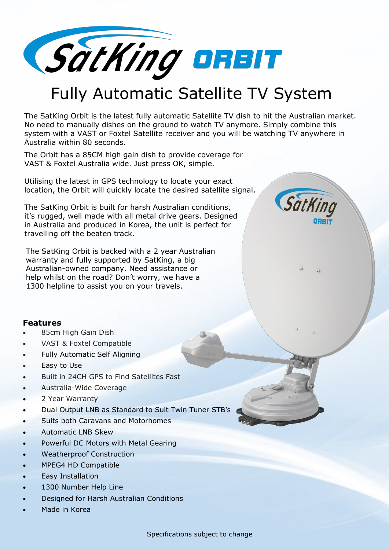

## Fully Automatic Satellite TV System

The SatKing Orbit is the latest fully automatic Satellite TV dish to hit the Australian market. No need to manually dishes on the ground to watch TV anymore. Simply combine this system with a VAST or Foxtel Satellite receiver and you will be watching TV anywhere in Australia within 80 seconds.

The Orbit has a 85CM high gain dish to provide coverage for VAST & Foxtel Australia wide. Just press OK, simple.

Utilising the latest in GPS technology to locate your exact location, the Orbit will quickly locate the desired satellite signal.

The SatKing Orbit is built for harsh Australian conditions, it's rugged, well made with all metal drive gears. Designed in Australia and produced in Korea, the unit is perfect for travelling off the beaten track.

The SatKing Orbit is backed with a 2 year Australian warranty and fully supported by SatKing, a big Australian-owned company. Need assistance or help whilst on the road? Don't worry, we have a 1300 helpline to assist you on your travels.

## SatKin

## **Features**

- 85cm High Gain Dish
- VAST & Foxtel Compatible
- Fully Automatic Self Aligning
- Easy to Use
- Built in 24CH GPS to Find Satellites Fast
- Australia-Wide Coverage
- 2 Year Warranty
- Dual Output LNB as Standard to Suit Twin Tuner STB's
- Suits both Caravans and Motorhomes
- Automatic LNB Skew
- Powerful DC Motors with Metal Gearing
- Weatherproof Construction
- MPEG4 HD Compatible
- Easy Installation
- 1300 Number Help Line
- Designed for Harsh Australian Conditions
- Made in Korea

Specifications subject to change